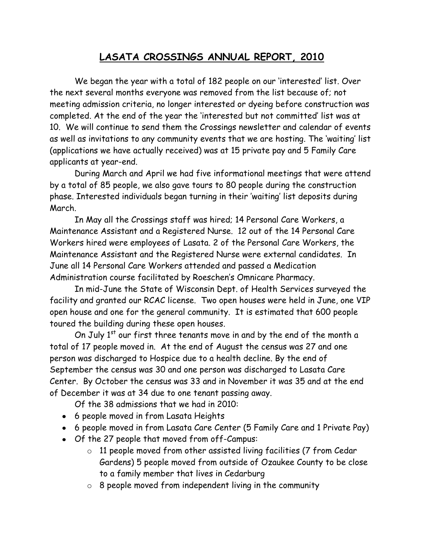## **LASATA CROSSINGS ANNUAL REPORT, 2010**

We began the year with a total of 182 people on our 'interested' list. Over the next several months everyone was removed from the list because of; not meeting admission criteria, no longer interested or dyeing before construction was completed. At the end of the year the 'interested but not committed' list was at 10. We will continue to send them the Crossings newsletter and calendar of events as well as invitations to any community events that we are hosting. The 'waiting' list (applications we have actually received) was at 15 private pay and 5 Family Care applicants at year-end.

During March and April we had five informational meetings that were attend by a total of 85 people, we also gave tours to 80 people during the construction phase. Interested individuals began turning in their 'waiting' list deposits during March.

In May all the Crossings staff was hired; 14 Personal Care Workers, a Maintenance Assistant and a Registered Nurse. 12 out of the 14 Personal Care Workers hired were employees of Lasata. 2 of the Personal Care Workers, the Maintenance Assistant and the Registered Nurse were external candidates. In June all 14 Personal Care Workers attended and passed a Medication Administration course facilitated by Roeschen's Omnicare Pharmacy.

In mid-June the State of Wisconsin Dept. of Health Services surveyed the facility and granted our RCAC license. Two open houses were held in June, one VIP open house and one for the general community. It is estimated that 600 people toured the building during these open houses.

On July 1<sup>st</sup> our first three tenants move in and by the end of the month a total of 17 people moved in. At the end of August the census was 27 and one person was discharged to Hospice due to a health decline. By the end of September the census was 30 and one person was discharged to Lasata Care Center. By October the census was 33 and in November it was 35 and at the end of December it was at 34 due to one tenant passing away.

Of the 38 admissions that we had in 2010:

- 6 people moved in from Lasata Heights
- 6 people moved in from Lasata Care Center (5 Family Care and 1 Private Pay)
- Of the 27 people that moved from off-Campus:
	- o 11 people moved from other assisted living facilities (7 from Cedar Gardens) 5 people moved from outside of Ozaukee County to be close to a family member that lives in Cedarburg
	- $\circ$  8 people moved from independent living in the community